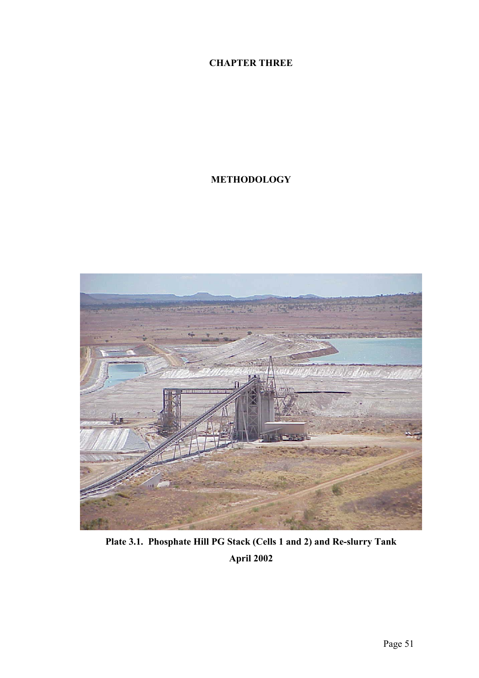# **CHAPTER THREE**

# **METHODOLOGY**



**Plate 3.1. Phosphate Hill PG Stack (Cells 1 and 2) and Re-slurry Tank April 2002**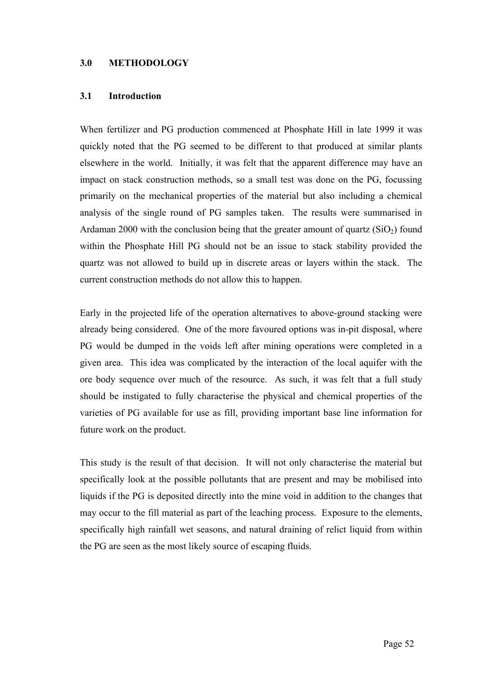#### **3.0 METHODOLOGY**

#### **3.1 Introduction**

When fertilizer and PG production commenced at Phosphate Hill in late 1999 it was quickly noted that the PG seemed to be different to that produced at similar plants elsewhere in the world. Initially, it was felt that the apparent difference may have an impact on stack construction methods, so a small test was done on the PG, focussing primarily on the mechanical properties of the material but also including a chemical analysis of the single round of PG samples taken. The results were summarised in Ardaman 2000 with the conclusion being that the greater amount of quartz  $(SiO<sub>2</sub>)$  found within the Phosphate Hill PG should not be an issue to stack stability provided the quartz was not allowed to build up in discrete areas or layers within the stack. The current construction methods do not allow this to happen.

Early in the projected life of the operation alternatives to above-ground stacking were already being considered. One of the more favoured options was in-pit disposal, where PG would be dumped in the voids left after mining operations were completed in a given area. This idea was complicated by the interaction of the local aquifer with the ore body sequence over much of the resource. As such, it was felt that a full study should be instigated to fully characterise the physical and chemical properties of the varieties of PG available for use as fill, providing important base line information for future work on the product.

This study is the result of that decision. It will not only characterise the material but specifically look at the possible pollutants that are present and may be mobilised into liquids if the PG is deposited directly into the mine void in addition to the changes that may occur to the fill material as part of the leaching process. Exposure to the elements, specifically high rainfall wet seasons, and natural draining of relict liquid from within the PG are seen as the most likely source of escaping fluids.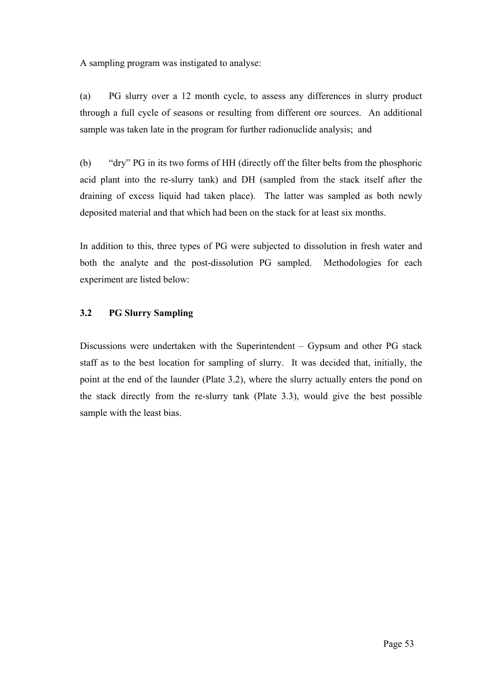A sampling program was instigated to analyse:

(a) PG slurry over a 12 month cycle, to assess any differences in slurry product through a full cycle of seasons or resulting from different ore sources. An additional sample was taken late in the program for further radionuclide analysis; and

(b) "dry" PG in its two forms of HH (directly off the filter belts from the phosphoric acid plant into the re-slurry tank) and DH (sampled from the stack itself after the draining of excess liquid had taken place). The latter was sampled as both newly deposited material and that which had been on the stack for at least six months.

In addition to this, three types of PG were subjected to dissolution in fresh water and both the analyte and the post-dissolution PG sampled. Methodologies for each experiment are listed below:

# **3.2 PG Slurry Sampling**

Discussions were undertaken with the Superintendent – Gypsum and other PG stack staff as to the best location for sampling of slurry. It was decided that, initially, the point at the end of the launder (Plate 3.2), where the slurry actually enters the pond on the stack directly from the re-slurry tank (Plate 3.3), would give the best possible sample with the least bias.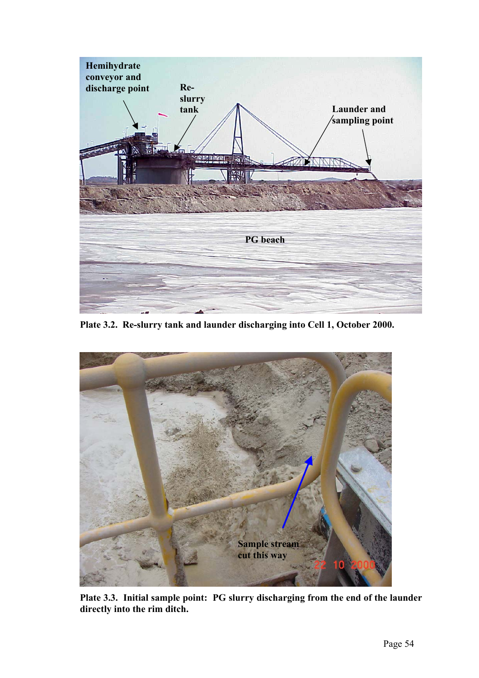

**Plate 3.2. Re-slurry tank and launder discharging into Cell 1, October 2000.**



**Plate 3.3. Initial sample point: PG slurry discharging from the end of the launder directly into the rim ditch.**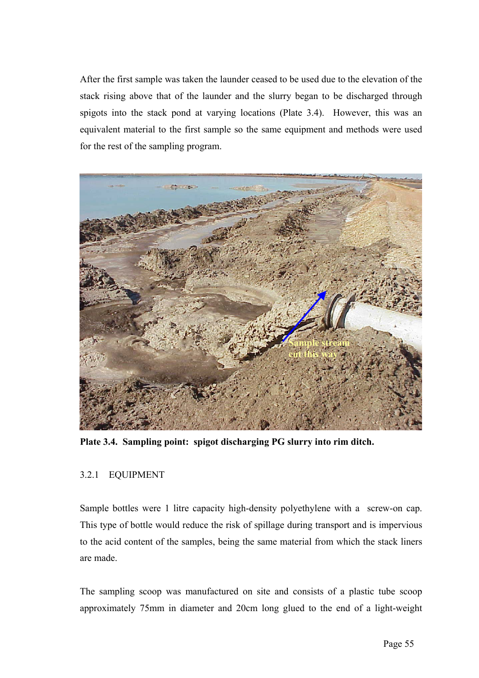After the first sample was taken the launder ceased to be used due to the elevation of the stack rising above that of the launder and the slurry began to be discharged through spigots into the stack pond at varying locations (Plate 3.4). However, this was an equivalent material to the first sample so the same equipment and methods were used for the rest of the sampling program.



**Plate 3.4. Sampling point: spigot discharging PG slurry into rim ditch.** 

# 3.2.1 EQUIPMENT

Sample bottles were 1 litre capacity high-density polyethylene with a screw-on cap. This type of bottle would reduce the risk of spillage during transport and is impervious to the acid content of the samples, being the same material from which the stack liners are made.

The sampling scoop was manufactured on site and consists of a plastic tube scoop approximately 75mm in diameter and 20cm long glued to the end of a light-weight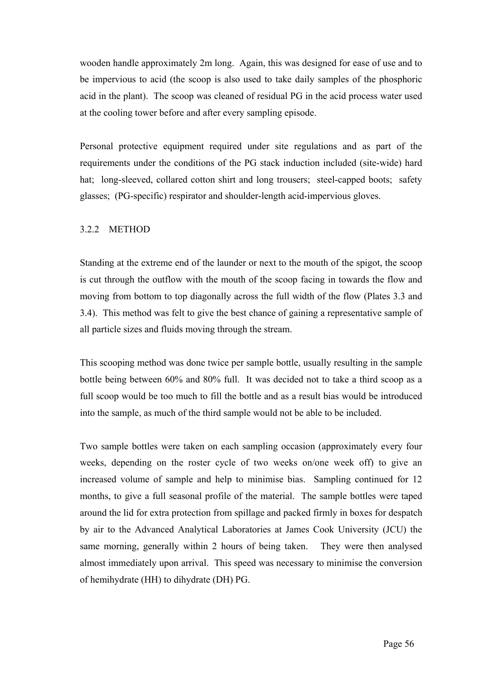wooden handle approximately 2m long. Again, this was designed for ease of use and to be impervious to acid (the scoop is also used to take daily samples of the phosphoric acid in the plant). The scoop was cleaned of residual PG in the acid process water used at the cooling tower before and after every sampling episode.

Personal protective equipment required under site regulations and as part of the requirements under the conditions of the PG stack induction included (site-wide) hard hat; long-sleeved, collared cotton shirt and long trousers; steel-capped boots; safety glasses; (PG-specific) respirator and shoulder-length acid-impervious gloves.

## 3.2.2 METHOD

Standing at the extreme end of the launder or next to the mouth of the spigot, the scoop is cut through the outflow with the mouth of the scoop facing in towards the flow and moving from bottom to top diagonally across the full width of the flow (Plates 3.3 and 3.4). This method was felt to give the best chance of gaining a representative sample of all particle sizes and fluids moving through the stream.

This scooping method was done twice per sample bottle, usually resulting in the sample bottle being between 60% and 80% full. It was decided not to take a third scoop as a full scoop would be too much to fill the bottle and as a result bias would be introduced into the sample, as much of the third sample would not be able to be included.

Two sample bottles were taken on each sampling occasion (approximately every four weeks, depending on the roster cycle of two weeks on/one week off) to give an increased volume of sample and help to minimise bias. Sampling continued for 12 months, to give a full seasonal profile of the material. The sample bottles were taped around the lid for extra protection from spillage and packed firmly in boxes for despatch by air to the Advanced Analytical Laboratories at James Cook University (JCU) the same morning, generally within 2 hours of being taken. They were then analysed almost immediately upon arrival. This speed was necessary to minimise the conversion of hemihydrate (HH) to dihydrate (DH) PG.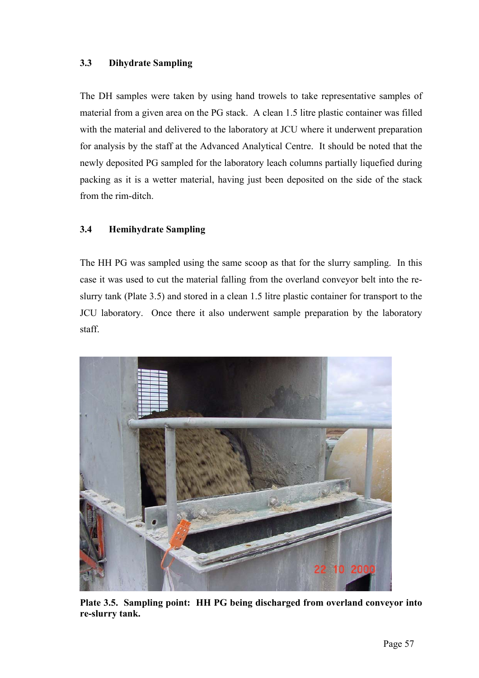# **3.3 Dihydrate Sampling**

The DH samples were taken by using hand trowels to take representative samples of material from a given area on the PG stack. A clean 1.5 litre plastic container was filled with the material and delivered to the laboratory at JCU where it underwent preparation for analysis by the staff at the Advanced Analytical Centre. It should be noted that the newly deposited PG sampled for the laboratory leach columns partially liquefied during packing as it is a wetter material, having just been deposited on the side of the stack from the rim-ditch.

# **3.4 Hemihydrate Sampling**

The HH PG was sampled using the same scoop as that for the slurry sampling. In this case it was used to cut the material falling from the overland conveyor belt into the reslurry tank (Plate 3.5) and stored in a clean 1.5 litre plastic container for transport to the JCU laboratory. Once there it also underwent sample preparation by the laboratory staff.



**Plate 3.5. Sampling point: HH PG being discharged from overland conveyor into re-slurry tank.**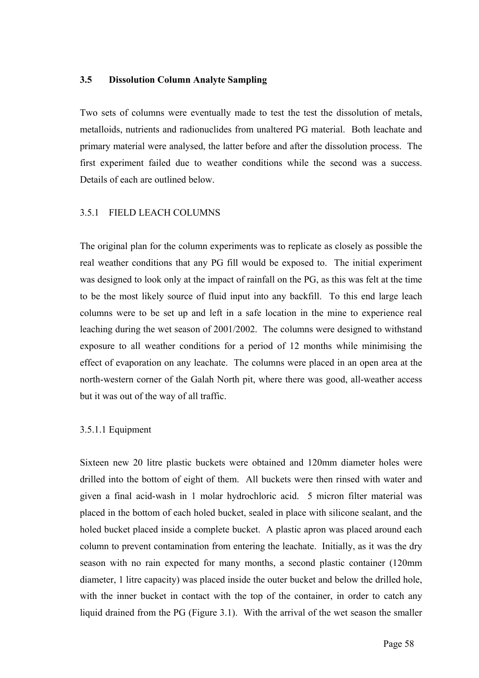### **3.5 Dissolution Column Analyte Sampling**

Two sets of columns were eventually made to test the test the dissolution of metals, metalloids, nutrients and radionuclides from unaltered PG material. Both leachate and primary material were analysed, the latter before and after the dissolution process. The first experiment failed due to weather conditions while the second was a success. Details of each are outlined below.

# 3.5.1 FIELD LEACH COLUMNS

The original plan for the column experiments was to replicate as closely as possible the real weather conditions that any PG fill would be exposed to. The initial experiment was designed to look only at the impact of rainfall on the PG, as this was felt at the time to be the most likely source of fluid input into any backfill. To this end large leach columns were to be set up and left in a safe location in the mine to experience real leaching during the wet season of 2001/2002. The columns were designed to withstand exposure to all weather conditions for a period of 12 months while minimising the effect of evaporation on any leachate. The columns were placed in an open area at the north-western corner of the Galah North pit, where there was good, all-weather access but it was out of the way of all traffic.

# 3.5.1.1 Equipment

Sixteen new 20 litre plastic buckets were obtained and 120mm diameter holes were drilled into the bottom of eight of them. All buckets were then rinsed with water and given a final acid-wash in 1 molar hydrochloric acid. 5 micron filter material was placed in the bottom of each holed bucket, sealed in place with silicone sealant, and the holed bucket placed inside a complete bucket. A plastic apron was placed around each column to prevent contamination from entering the leachate. Initially, as it was the dry season with no rain expected for many months, a second plastic container (120mm diameter, 1 litre capacity) was placed inside the outer bucket and below the drilled hole, with the inner bucket in contact with the top of the container, in order to catch any liquid drained from the PG (Figure 3.1). With the arrival of the wet season the smaller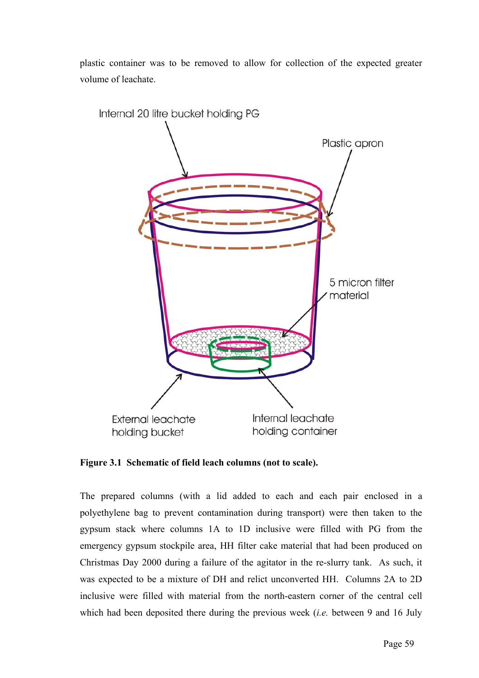plastic container was to be removed to allow for collection of the expected greater volume of leachate.



**Figure 3.1 Schematic of field leach columns (not to scale).** 

The prepared columns (with a lid added to each and each pair enclosed in a polyethylene bag to prevent contamination during transport) were then taken to the gypsum stack where columns 1A to 1D inclusive were filled with PG from the emergency gypsum stockpile area, HH filter cake material that had been produced on Christmas Day 2000 during a failure of the agitator in the re-slurry tank. As such, it was expected to be a mixture of DH and relict unconverted HH. Columns 2A to 2D inclusive were filled with material from the north-eastern corner of the central cell which had been deposited there during the previous week (*i.e.* between 9 and 16 July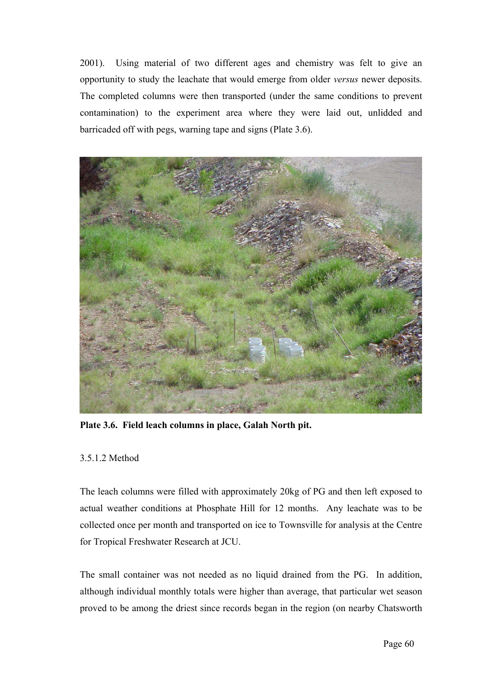2001). Using material of two different ages and chemistry was felt to give an opportunity to study the leachate that would emerge from older *versus* newer deposits. The completed columns were then transported (under the same conditions to prevent contamination) to the experiment area where they were laid out, unlidded and barricaded off with pegs, warning tape and signs (Plate 3.6).



**Plate 3.6. Field leach columns in place, Galah North pit.** 

# 3.5.1.2 Method

The leach columns were filled with approximately 20kg of PG and then left exposed to actual weather conditions at Phosphate Hill for 12 months. Any leachate was to be collected once per month and transported on ice to Townsville for analysis at the Centre for Tropical Freshwater Research at JCU.

The small container was not needed as no liquid drained from the PG. In addition, although individual monthly totals were higher than average, that particular wet season proved to be among the driest since records began in the region (on nearby Chatsworth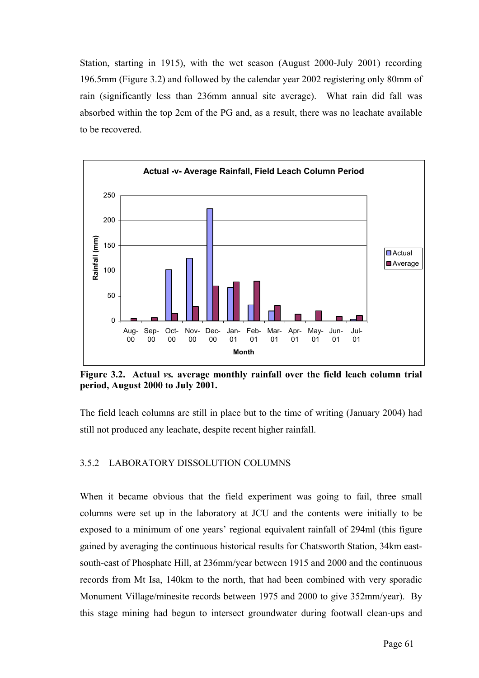Station, starting in 1915), with the wet season (August 2000-July 2001) recording 196.5mm (Figure 3.2) and followed by the calendar year 2002 registering only 80mm of rain (significantly less than 236mm annual site average). What rain did fall was absorbed within the top 2cm of the PG and, as a result, there was no leachate available to be recovered.



**Figure 3.2. Actual** *vs.* **average monthly rainfall over the field leach column trial period, August 2000 to July 2001.** 

The field leach columns are still in place but to the time of writing (January 2004) had still not produced any leachate, despite recent higher rainfall.

# 3.5.2 LABORATORY DISSOLUTION COLUMNS

When it became obvious that the field experiment was going to fail, three small columns were set up in the laboratory at JCU and the contents were initially to be exposed to a minimum of one years' regional equivalent rainfall of 294ml (this figure gained by averaging the continuous historical results for Chatsworth Station, 34km eastsouth-east of Phosphate Hill, at 236mm/year between 1915 and 2000 and the continuous records from Mt Isa, 140km to the north, that had been combined with very sporadic Monument Village/minesite records between 1975 and 2000 to give 352mm/year). By this stage mining had begun to intersect groundwater during footwall clean-ups and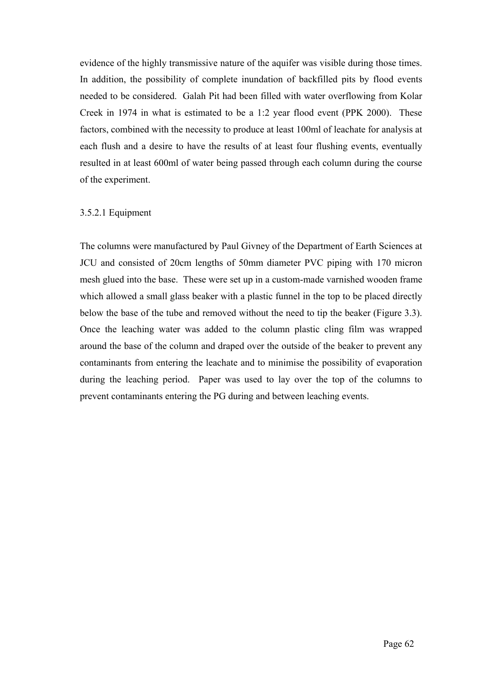evidence of the highly transmissive nature of the aquifer was visible during those times. In addition, the possibility of complete inundation of backfilled pits by flood events needed to be considered. Galah Pit had been filled with water overflowing from Kolar Creek in 1974 in what is estimated to be a 1:2 year flood event (PPK 2000). These factors, combined with the necessity to produce at least 100ml of leachate for analysis at each flush and a desire to have the results of at least four flushing events, eventually resulted in at least 600ml of water being passed through each column during the course of the experiment.

## 3.5.2.1 Equipment

The columns were manufactured by Paul Givney of the Department of Earth Sciences at JCU and consisted of 20cm lengths of 50mm diameter PVC piping with 170 micron mesh glued into the base. These were set up in a custom-made varnished wooden frame which allowed a small glass beaker with a plastic funnel in the top to be placed directly below the base of the tube and removed without the need to tip the beaker (Figure 3.3). Once the leaching water was added to the column plastic cling film was wrapped around the base of the column and draped over the outside of the beaker to prevent any contaminants from entering the leachate and to minimise the possibility of evaporation during the leaching period. Paper was used to lay over the top of the columns to prevent contaminants entering the PG during and between leaching events.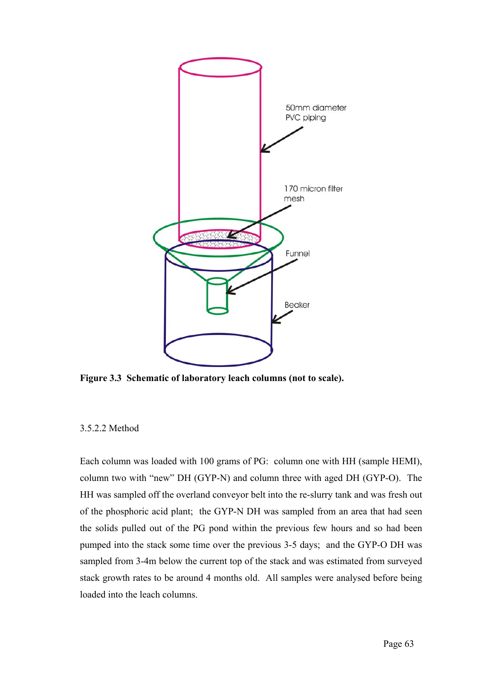

**Figure 3.3 Schematic of laboratory leach columns (not to scale).** 

#### 3.5.2.2 Method

Each column was loaded with 100 grams of PG: column one with HH (sample HEMI), column two with "new" DH (GYP-N) and column three with aged DH (GYP-O). The HH was sampled off the overland conveyor belt into the re-slurry tank and was fresh out of the phosphoric acid plant; the GYP-N DH was sampled from an area that had seen the solids pulled out of the PG pond within the previous few hours and so had been pumped into the stack some time over the previous 3-5 days; and the GYP-O DH was sampled from 3-4m below the current top of the stack and was estimated from surveyed stack growth rates to be around 4 months old. All samples were analysed before being loaded into the leach columns.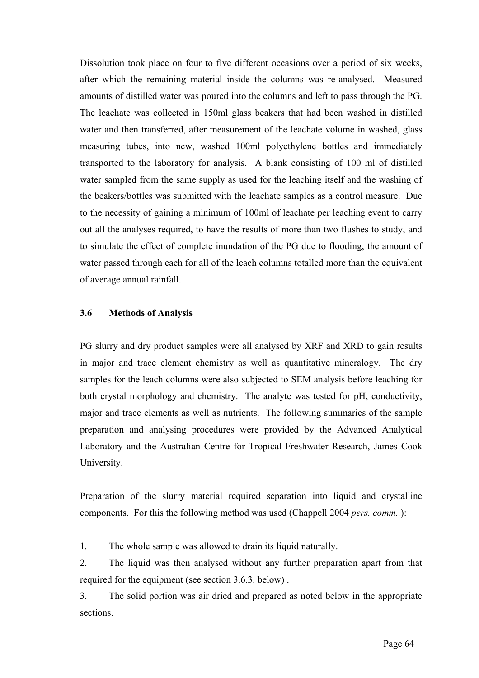Dissolution took place on four to five different occasions over a period of six weeks, after which the remaining material inside the columns was re-analysed. Measured amounts of distilled water was poured into the columns and left to pass through the PG. The leachate was collected in 150ml glass beakers that had been washed in distilled water and then transferred, after measurement of the leachate volume in washed, glass measuring tubes, into new, washed 100ml polyethylene bottles and immediately transported to the laboratory for analysis. A blank consisting of 100 ml of distilled water sampled from the same supply as used for the leaching itself and the washing of the beakers/bottles was submitted with the leachate samples as a control measure. Due to the necessity of gaining a minimum of 100ml of leachate per leaching event to carry out all the analyses required, to have the results of more than two flushes to study, and to simulate the effect of complete inundation of the PG due to flooding, the amount of water passed through each for all of the leach columns totalled more than the equivalent of average annual rainfall.

## **3.6 Methods of Analysis**

PG slurry and dry product samples were all analysed by XRF and XRD to gain results in major and trace element chemistry as well as quantitative mineralogy. The dry samples for the leach columns were also subjected to SEM analysis before leaching for both crystal morphology and chemistry. The analyte was tested for pH, conductivity, major and trace elements as well as nutrients. The following summaries of the sample preparation and analysing procedures were provided by the Advanced Analytical Laboratory and the Australian Centre for Tropical Freshwater Research, James Cook University.

Preparation of the slurry material required separation into liquid and crystalline components. For this the following method was used (Chappell 2004 *pers. comm..*):

1. The whole sample was allowed to drain its liquid naturally.

2. The liquid was then analysed without any further preparation apart from that required for the equipment (see section 3.6.3. below) .

3. The solid portion was air dried and prepared as noted below in the appropriate sections.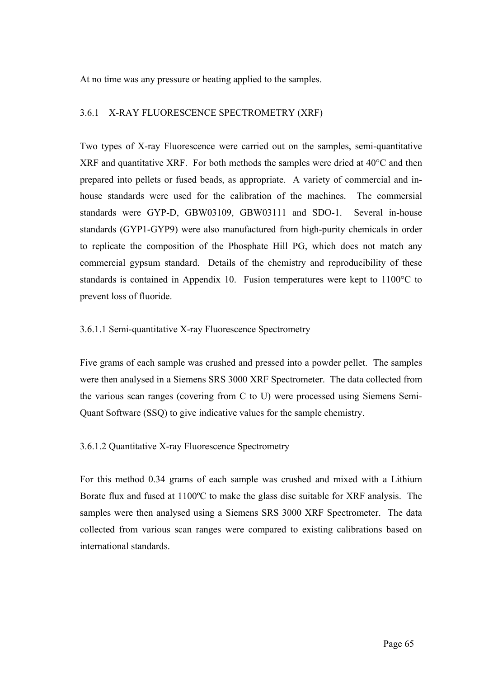At no time was any pressure or heating applied to the samples.

### 3.6.1 X-RAY FLUORESCENCE SPECTROMETRY (XRF)

Two types of X-ray Fluorescence were carried out on the samples, semi-quantitative XRF and quantitative XRF. For both methods the samples were dried at 40°C and then prepared into pellets or fused beads, as appropriate. A variety of commercial and inhouse standards were used for the calibration of the machines. The commersial standards were GYP-D, GBW03109, GBW03111 and SDO-1. Several in-house standards (GYP1-GYP9) were also manufactured from high-purity chemicals in order to replicate the composition of the Phosphate Hill PG, which does not match any commercial gypsum standard. Details of the chemistry and reproducibility of these standards is contained in Appendix 10. Fusion temperatures were kept to 1100°C to prevent loss of fluoride.

## 3.6.1.1 Semi-quantitative X-ray Fluorescence Spectrometry

Five grams of each sample was crushed and pressed into a powder pellet. The samples were then analysed in a Siemens SRS 3000 XRF Spectrometer. The data collected from the various scan ranges (covering from C to U) were processed using Siemens Semi-Quant Software (SSQ) to give indicative values for the sample chemistry.

#### 3.6.1.2 Quantitative X-ray Fluorescence Spectrometry

For this method 0.34 grams of each sample was crushed and mixed with a Lithium Borate flux and fused at 1100ºC to make the glass disc suitable for XRF analysis. The samples were then analysed using a Siemens SRS 3000 XRF Spectrometer. The data collected from various scan ranges were compared to existing calibrations based on international standards.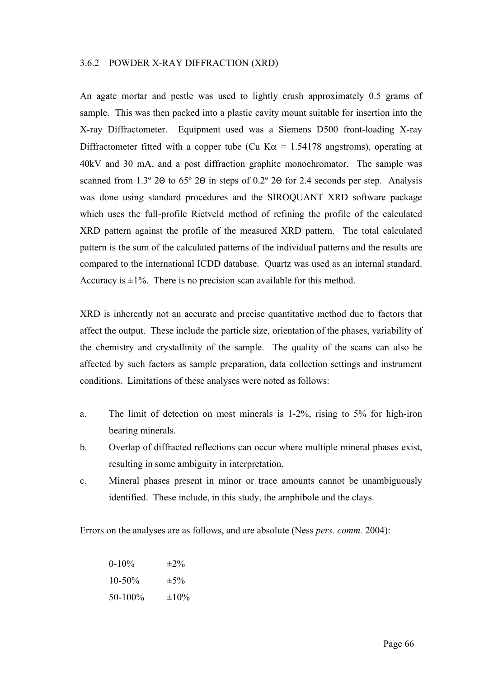#### 3.6.2 POWDER X-RAY DIFFRACTION (XRD)

An agate mortar and pestle was used to lightly crush approximately 0.5 grams of sample. This was then packed into a plastic cavity mount suitable for insertion into the X-ray Diffractometer. Equipment used was a Siemens D500 front-loading X-ray Diffractometer fitted with a copper tube (Cu K $\alpha$  = 1.54178 angstroms), operating at 40kV and 30 mA, and a post diffraction graphite monochromator. The sample was scanned from 1.3º 2Θ to 65º 2Θ in steps of 0.2º 2Θ for 2.4 seconds per step. Analysis was done using standard procedures and the SIROQUANT XRD software package which uses the full-profile Rietveld method of refining the profile of the calculated XRD pattern against the profile of the measured XRD pattern. The total calculated pattern is the sum of the calculated patterns of the individual patterns and the results are compared to the international ICDD database. Quartz was used as an internal standard. Accuracy is  $\pm 1\%$ . There is no precision scan available for this method.

XRD is inherently not an accurate and precise quantitative method due to factors that affect the output. These include the particle size, orientation of the phases, variability of the chemistry and crystallinity of the sample. The quality of the scans can also be affected by such factors as sample preparation, data collection settings and instrument conditions. Limitations of these analyses were noted as follows:

- a. The limit of detection on most minerals is 1-2%, rising to 5% for high-iron bearing minerals.
- b. Overlap of diffracted reflections can occur where multiple mineral phases exist, resulting in some ambiguity in interpretation.
- c. Mineral phases present in minor or trace amounts cannot be unambiguously identified. These include, in this study, the amphibole and the clays.

Errors on the analyses are as follows, and are absolute (Ness *pers. comm.* 2004):

| $0-10%$     | $\pm 2\%$  |
|-------------|------------|
| $10 - 50\%$ | $\pm 5\%$  |
| $50-100\%$  | $\pm 10\%$ |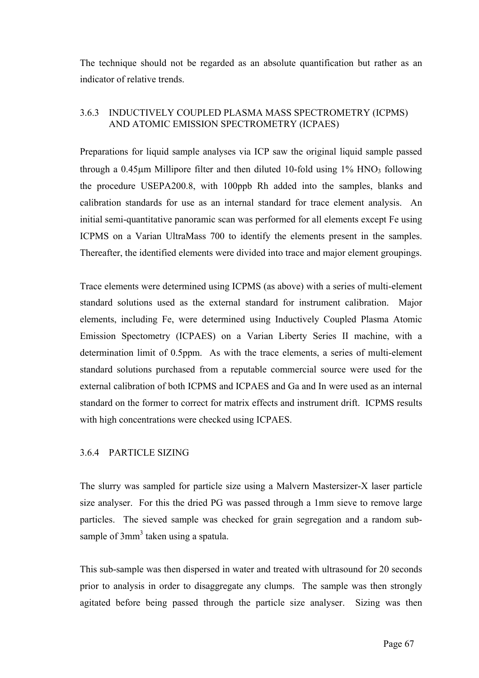The technique should not be regarded as an absolute quantification but rather as an indicator of relative trends.

# 3.6.3 INDUCTIVELY COUPLED PLASMA MASS SPECTROMETRY (ICPMS) AND ATOMIC EMISSION SPECTROMETRY (ICPAES)

Preparations for liquid sample analyses via ICP saw the original liquid sample passed through a  $0.45\mu$ m Millipore filter and then diluted 10-fold using  $1\%$  HNO<sub>3</sub> following the procedure USEPA200.8, with 100ppb Rh added into the samples, blanks and calibration standards for use as an internal standard for trace element analysis. An initial semi-quantitative panoramic scan was performed for all elements except Fe using ICPMS on a Varian UltraMass 700 to identify the elements present in the samples. Thereafter, the identified elements were divided into trace and major element groupings.

Trace elements were determined using ICPMS (as above) with a series of multi-element standard solutions used as the external standard for instrument calibration. Major elements, including Fe, were determined using Inductively Coupled Plasma Atomic Emission Spectometry (ICPAES) on a Varian Liberty Series II machine, with a determination limit of 0.5ppm. As with the trace elements, a series of multi-element standard solutions purchased from a reputable commercial source were used for the external calibration of both ICPMS and ICPAES and Ga and In were used as an internal standard on the former to correct for matrix effects and instrument drift. ICPMS results with high concentrations were checked using ICPAES.

# 3.6.4 PARTICLE SIZING

The slurry was sampled for particle size using a Malvern Mastersizer-X laser particle size analyser. For this the dried PG was passed through a 1mm sieve to remove large particles. The sieved sample was checked for grain segregation and a random subsample of 3mm<sup>3</sup> taken using a spatula.

This sub-sample was then dispersed in water and treated with ultrasound for 20 seconds prior to analysis in order to disaggregate any clumps. The sample was then strongly agitated before being passed through the particle size analyser. Sizing was then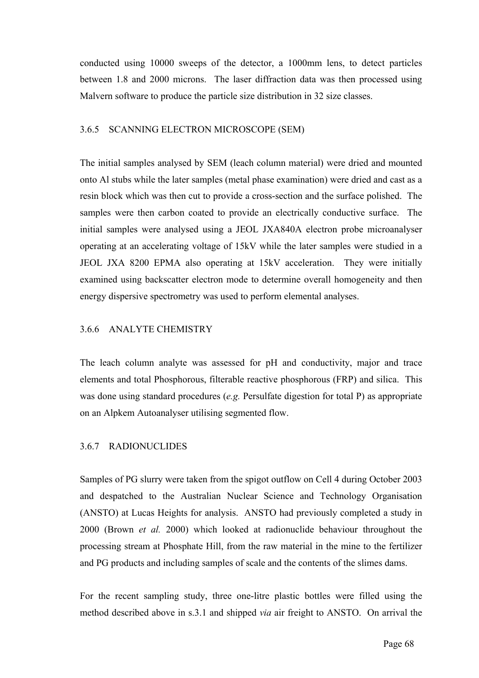conducted using 10000 sweeps of the detector, a 1000mm lens, to detect particles between 1.8 and 2000 microns. The laser diffraction data was then processed using Malvern software to produce the particle size distribution in 32 size classes.

### 3.6.5 SCANNING ELECTRON MICROSCOPE (SEM)

The initial samples analysed by SEM (leach column material) were dried and mounted onto Al stubs while the later samples (metal phase examination) were dried and cast as a resin block which was then cut to provide a cross-section and the surface polished. The samples were then carbon coated to provide an electrically conductive surface. The initial samples were analysed using a JEOL JXA840A electron probe microanalyser operating at an accelerating voltage of 15kV while the later samples were studied in a JEOL JXA 8200 EPMA also operating at 15kV acceleration. They were initially examined using backscatter electron mode to determine overall homogeneity and then energy dispersive spectrometry was used to perform elemental analyses.

# 3.6.6 ANALYTE CHEMISTRY

The leach column analyte was assessed for pH and conductivity, major and trace elements and total Phosphorous, filterable reactive phosphorous (FRP) and silica. This was done using standard procedures (*e.g.* Persulfate digestion for total P) as appropriate on an Alpkem Autoanalyser utilising segmented flow.

# 3.6.7 RADIONUCLIDES

Samples of PG slurry were taken from the spigot outflow on Cell 4 during October 2003 and despatched to the Australian Nuclear Science and Technology Organisation (ANSTO) at Lucas Heights for analysis. ANSTO had previously completed a study in 2000 (Brown *et al.* 2000) which looked at radionuclide behaviour throughout the processing stream at Phosphate Hill, from the raw material in the mine to the fertilizer and PG products and including samples of scale and the contents of the slimes dams.

For the recent sampling study, three one-litre plastic bottles were filled using the method described above in s.3.1 and shipped *via* air freight to ANSTO. On arrival the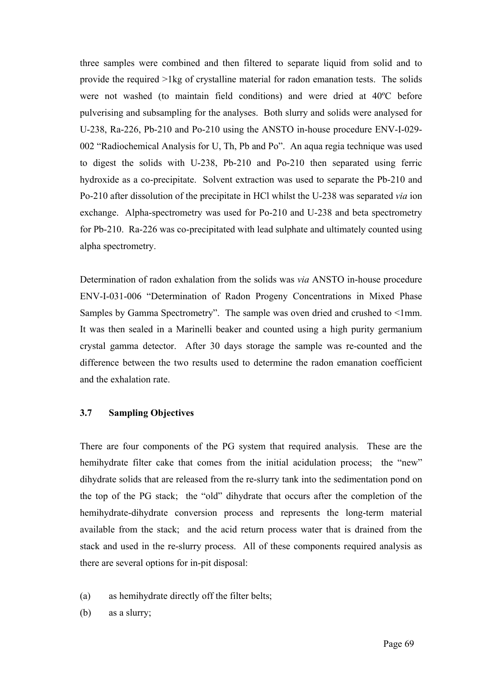three samples were combined and then filtered to separate liquid from solid and to provide the required >1kg of crystalline material for radon emanation tests. The solids were not washed (to maintain field conditions) and were dried at 40ºC before pulverising and subsampling for the analyses. Both slurry and solids were analysed for U-238, Ra-226, Pb-210 and Po-210 using the ANSTO in-house procedure ENV-I-029- 002 "Radiochemical Analysis for U, Th, Pb and Po". An aqua regia technique was used to digest the solids with U-238, Pb-210 and Po-210 then separated using ferric hydroxide as a co-precipitate. Solvent extraction was used to separate the Pb-210 and Po-210 after dissolution of the precipitate in HCl whilst the U-238 was separated *via* ion exchange. Alpha-spectrometry was used for Po-210 and U-238 and beta spectrometry for Pb-210. Ra-226 was co-precipitated with lead sulphate and ultimately counted using alpha spectrometry.

Determination of radon exhalation from the solids was *via* ANSTO in-house procedure ENV-I-031-006 "Determination of Radon Progeny Concentrations in Mixed Phase Samples by Gamma Spectrometry". The sample was oven dried and crushed to <1mm. It was then sealed in a Marinelli beaker and counted using a high purity germanium crystal gamma detector. After 30 days storage the sample was re-counted and the difference between the two results used to determine the radon emanation coefficient and the exhalation rate.

# **3.7 Sampling Objectives**

There are four components of the PG system that required analysis. These are the hemihydrate filter cake that comes from the initial acidulation process; the "new" dihydrate solids that are released from the re-slurry tank into the sedimentation pond on the top of the PG stack; the "old" dihydrate that occurs after the completion of the hemihydrate-dihydrate conversion process and represents the long-term material available from the stack; and the acid return process water that is drained from the stack and used in the re-slurry process. All of these components required analysis as there are several options for in-pit disposal:

- (a) as hemihydrate directly off the filter belts;
- (b) as a slurry;